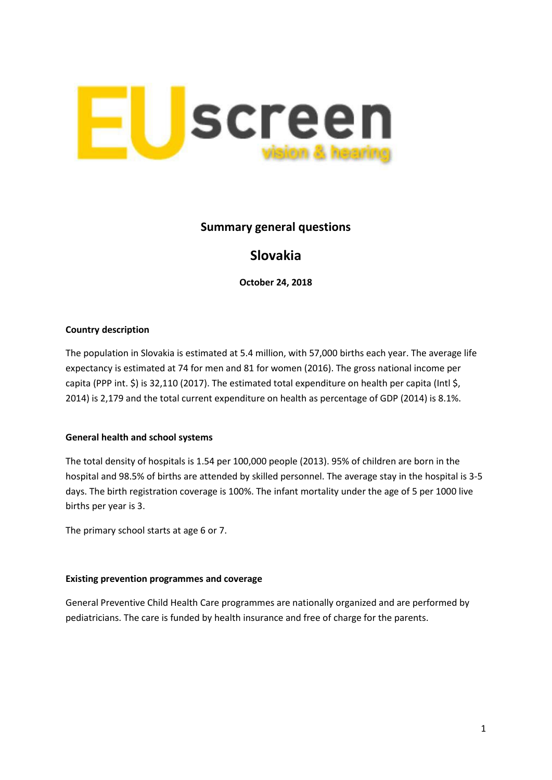

## **Summary general questions**

# **Slovakia**

**October 24, 2018**

## **Country description**

The population in Slovakia is estimated at 5.4 million, with 57,000 births each year. The average life expectancy is estimated at 74 for men and 81 for women (2016). The gross national income per capita (PPP int. \$) is 32,110 (2017). The estimated total expenditure on health per capita (Intl \$, 2014) is 2,179 and the total current expenditure on health as percentage of GDP (2014) is 8.1%.

## **General health and school systems**

The total density of hospitals is 1.54 per 100,000 people (2013). 95% of children are born in the hospital and 98.5% of births are attended by skilled personnel. The average stay in the hospital is 3-5 days. The birth registration coverage is 100%. The infant mortality under the age of 5 per 1000 live births per year is 3.

The primary school starts at age 6 or 7.

### **Existing prevention programmes and coverage**

General Preventive Child Health Care programmes are nationally organized and are performed by pediatricians. The care is funded by health insurance and free of charge for the parents.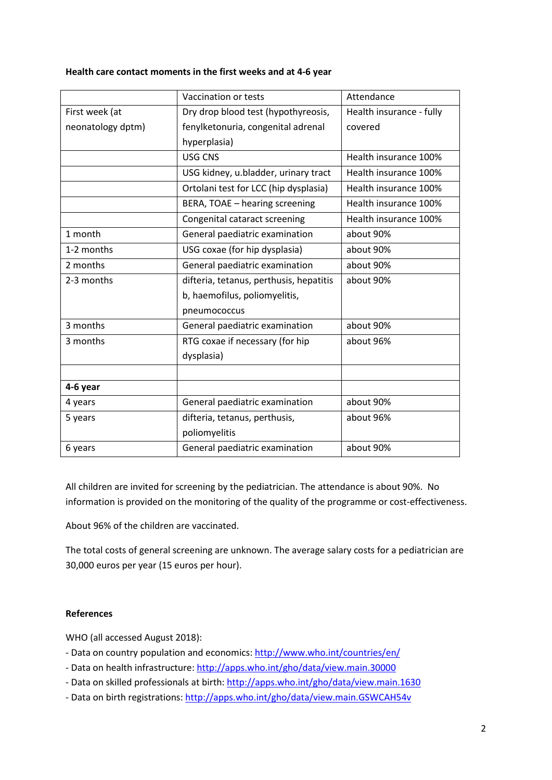#### **Health care contact moments in the first weeks and at 4-6 year**

|                   | Vaccination or tests                    | Attendance               |
|-------------------|-----------------------------------------|--------------------------|
| First week (at    | Dry drop blood test (hypothyreosis,     | Health insurance - fully |
| neonatology dptm) | fenylketonuria, congenital adrenal      | covered                  |
|                   | hyperplasia)                            |                          |
|                   | <b>USG CNS</b>                          | Health insurance 100%    |
|                   | USG kidney, u.bladder, urinary tract    | Health insurance 100%    |
|                   | Ortolani test for LCC (hip dysplasia)   | Health insurance 100%    |
|                   | BERA, TOAE - hearing screening          | Health insurance 100%    |
|                   | Congenital cataract screening           | Health insurance 100%    |
| 1 month           | General paediatric examination          | about 90%                |
| 1-2 months        | USG coxae (for hip dysplasia)           | about 90%                |
| 2 months          | General paediatric examination          | about 90%                |
| 2-3 months        | difteria, tetanus, perthusis, hepatitis | about 90%                |
|                   | b, haemofilus, poliomyelitis,           |                          |
|                   | pneumococcus                            |                          |
| 3 months          | General paediatric examination          | about 90%                |
| 3 months          | RTG coxae if necessary (for hip         | about 96%                |
|                   | dysplasia)                              |                          |
|                   |                                         |                          |
| 4-6 year          |                                         |                          |
| 4 years           | General paediatric examination          | about 90%                |
| 5 years           | difteria, tetanus, perthusis,           | about 96%                |
|                   | poliomyelitis                           |                          |
| 6 years           | General paediatric examination          | about 90%                |

All children are invited for screening by the pediatrician. The attendance is about 90%. No information is provided on the monitoring of the quality of the programme or cost-effectiveness.

About 96% of the children are vaccinated.

The total costs of general screening are unknown. The average salary costs for a pediatrician are 30,000 euros per year (15 euros per hour).

### **References**

WHO (all accessed August 2018):

- Data on country population and economics:<http://www.who.int/countries/en/>
- Data on health infrastructure:<http://apps.who.int/gho/data/view.main.30000>
- Data on skilled professionals at birth: <http://apps.who.int/gho/data/view.main.1630>
- Data on birth registrations: <http://apps.who.int/gho/data/view.main.GSWCAH54v>